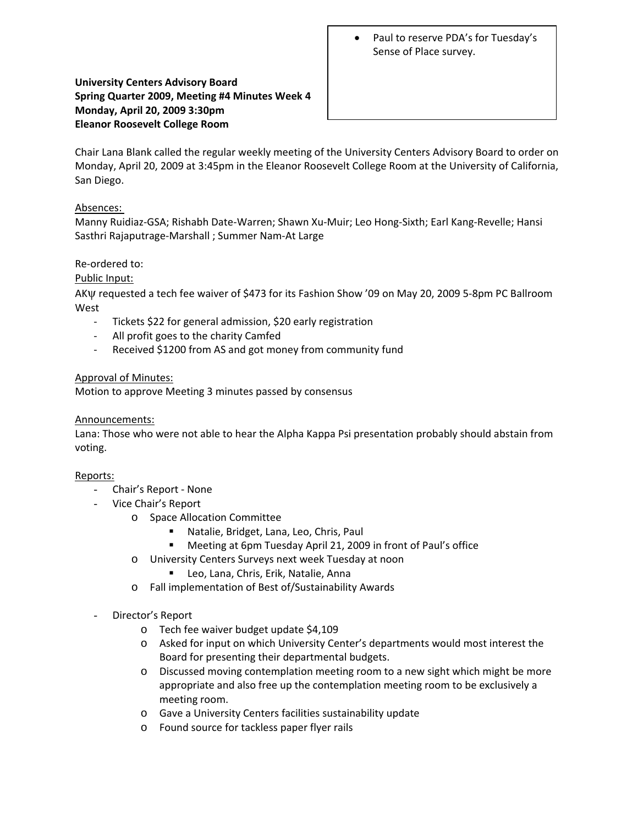• Paul to reserve PDA's for Tuesday's Sense of Place survey.

## **University Centers Advisory Board Spring Quarter 2009, Meeting #4 Minutes Week 4 Monday, April 20, 2009 3:30pm Eleanor Roosevelt College Room**

Chair Lana Blank called the regular weekly meeting of the University Centers Advisory Board to order on Monday, April 20, 2009 at 3:45pm in the Eleanor Roosevelt College Room at the University of California, San Diego.

## Absences:

Manny Ruidiaz‐GSA; Rishabh Date‐Warren; Shawn Xu‐Muir; Leo Hong‐Sixth; Earl Kang‐Revelle; Hansi Sasthri Rajaputrage‐Marshall ; Summer Nam‐At Large

# Re‐ordered to:

# Public Input:

AKψ requested a tech fee waiver of \$473 for its Fashion Show '09 on May 20, 2009 5‐8pm PC Ballroom West

- Tickets \$22 for general admission, \$20 early registration
- ‐ All profit goes to the charity Camfed
- ‐ Received \$1200 from AS and got money from community fund

## Approval of Minutes:

Motion to approve Meeting 3 minutes passed by consensus

## Announcements:

Lana: Those who were not able to hear the Alpha Kappa Psi presentation probably should abstain from voting.

## Reports:

- Chair's Report ‐ None
- Vice Chair's Report
	- o Space Allocation Committee
		- Natalie, Bridget, Lana, Leo, Chris, Paul
		- Meeting at 6pm Tuesday April 21, 2009 in front of Paul's office
	- o University Centers Surveys next week Tuesday at noon
		- **Leo, Lana, Chris, Erik, Natalie, Anna**
	- o Fall implementation of Best of/Sustainability Awards
- Director's Report
	- o Tech fee waiver budget update \$4,109
	- o Asked for input on which University Center's departments would most interest the Board for presenting their departmental budgets.
	- o Discussed moving contemplation meeting room to a new sight which might be more appropriate and also free up the contemplation meeting room to be exclusively a meeting room.
	- o Gave a University Centers facilities sustainability update
	- o Found source for tackless paper flyer rails